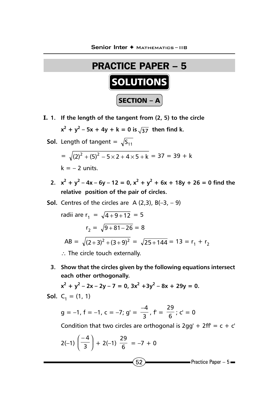

**I. 1. If the length of the tangent from (2, 5) to the circle**

 $x^2 + y^2 - 5x + 4y + k = 0$  is  $\sqrt{37}$  then find k.

- **Sol.** Length of tangent =  $\sqrt{S_{11}}$  $=\sqrt{(2)^2 + (5)^2 - 5 \times 2 + 4 \times 5 + k} = 37 = 39 + k$  $k = -2$  units.
	- 2.  $x^2 + y^2 4x 6y 12 = 0$ ,  $x^2 + y^2 + 6x + 18y + 26 = 0$  find the **relative position of the pair of circles.**
- **Sol.** Centres of the circles are  $A(2,3)$ ,  $B(-3, -9)$

radii are  $r_1 = \sqrt{4 + 9 + 12} = 5$  $r_2 = \sqrt{9 + 81 - 26} = 8$ AB =  $\sqrt{(2+3)^2 + (3+9)^2} = \sqrt{25+144} = 13 = r_1 + r_2$ 

- ∴ The circle touch externally.
- **3. Show that the circles given by the following equations intersect each other orthogonally.**

$$
x2 + y2 - 2x - 2y - 7 = 0, 3x2 + 3y2 - 8x + 29y = 0.
$$
  
**Sol.** C<sub>1</sub> = (1, 1)

$$
g = -1, f = -1, c = -7; g' = \frac{-4}{3}, f' = \frac{29}{6}; c' = 0
$$

Condition that two circles are orthogonal is  $2gg' + 2ff' = c + c'$ 

$$
2(-1)\left(\frac{-4}{3}\right) + 2(-1)\frac{29}{6} = -7 + 0
$$
\nPractice Paper - 5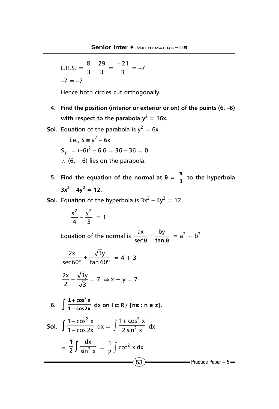L.H.S. = 
$$
\frac{8}{3} - \frac{29}{3} = \frac{-21}{3} = -7
$$
  
-7 = -7

Hence both circles cut orthogonally.

- **4. Find the position (interior or exterior or on) of the points (6, –6)** with respect to the parabola  $y^2 = 16x$ .
- **Sol.** Equation of the parabola is  $y^2 = 6x$

i.e., 
$$
S = y^2 - 6x
$$
  
\n $S_{11} = (-6)^2 - 6.6 = 36 - 36 = 0$   
\n $\therefore$  (6, -6) lies on the parabola.

- **5.** Find the equation of the normal at  $\theta = \frac{\pi}{3}$  to the hyperbola  $3x^2 - 4y^2 = 12$ .
- **Sol.** Equation of the hyperbola is  $3x^2 4y^2 = 12$

$$
\frac{x^2}{4}-\frac{y^2}{3}=1
$$

Equation of the normal is  $\frac{dx}{\sec \theta} + \frac{dy}{\tan \theta}$ by sec  $\frac{ax}{ax} + \frac{by}{ax} = a^2 + b^2$ 

$$
\frac{2x}{\sec 60^\circ} + \frac{\sqrt{3}y}{\tan 60^\circ} = 4 + 3
$$

$$
\frac{2x}{2} + \frac{\sqrt{3}y}{\sqrt{3}} = 7 \implies x + y = 7
$$

$$
2 \sqrt{3}
$$

6. 
$$
\int \frac{1+\cos^2 x}{1-\cos 2x} dx
$$
 on  $1 \subset R / \{\text{nx} : \text{n} \in \text{z}\}.$ 

$$
\text{Sol.} \quad \int \frac{1 + \cos^2 x}{1 - \cos 2x} \, \mathrm{d}x = \int \frac{1 + \cos^2 x}{2 \sin^2 x} \, \mathrm{d}x
$$
\n
$$
= \frac{1}{2} \int \frac{\mathrm{d}x}{\sin^2 x} + \frac{1}{2} \int \cot^2 x \, \mathrm{d}x
$$
\n
$$
\boxed{53}
$$
\nPractice Paper - 5 =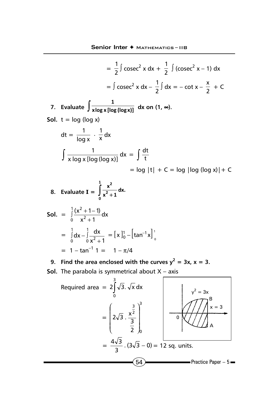$$
= \frac{1}{2} \int \csc^2 x \, dx + \frac{1}{2} \int (\csc^2 x - 1) \, dx
$$
  
\n
$$
= \int \csc^2 x \, dx - \frac{1}{2} \int dx = -\cot x - \frac{x}{2} + C
$$
  
\n7. Evaluate  $\int \frac{1}{x \log x [\log (\log (\log x)]} \, dx$  on (1,  $\infty$ ).  
\nSoI.  $t = \log (\log x)$   
\n
$$
dt = \frac{1}{\log x} \cdot \frac{1}{x} dx
$$
  
\n
$$
\int \frac{1}{x \log x [\log (\log x)]} \, dx = \int \frac{dt}{t}
$$
  
\n
$$
= \log |t| + C = \log |\log (\log x)| + C
$$
  
\n8. Evaluate  $I = \int_0^1 \frac{x^2}{x^2 + 1} \, dx$ .  
\nSoI.  $= \int_0^1 \frac{x^2}{x^2 + 1} \, dx$   
\n
$$
= \int_0^1 \frac{dx}{x^2 + 1} = [x]_0^1 - [\tan^{-1} x]_0^1
$$
  
\n
$$
= 1 - \tan^{-1} 1 = 1 - \pi/4
$$
  
\n9. Find the area enclosed with the curves  $y^2 = 3x$ ,  $x = 3$ .  
\nSoI. The parabola is symmetrical about X – axis  
\nRequired area  $= 2 \int_0^3 \sqrt{3} \cdot \sqrt{x} \, dx$   
\n
$$
= \left( 2\sqrt{3} \cdot \frac{x^{\frac{3}{2}}}{\frac{3}{2}} \right)_0^3
$$

2  $\int_{0}$ 

 $=\frac{4\sqrt{3}}{3}$ .  $(3\sqrt{3} - 0) = 12$  sq. units.

l

 $\sqrt{54}$  Practice Paper – 5

A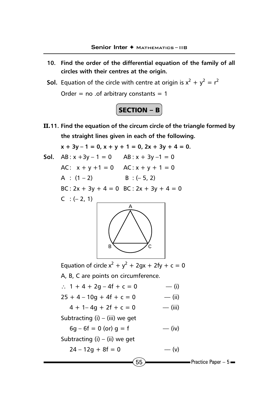- **10. Find the order of the differential equation of the family of all circles with their centres at the origin.**
- **Sol.** Equation of the circle with centre at origin is  $x^2 + y^2 = r^2$ Order = no .of arbitrary constants =  $1$



**II.11. Find the equation of the circum circle of the triangle formed by the straight lines given in each of the following.**

```
x + 3y - 1 = 0, x + y + 1 = 0, 2x + 3y + 4 = 0.
```
**Sol.**  $AB: x +3y - 1 = 0$   $AB: x + 3y - 1 = 0$ AC:  $x + y + 1 = 0$  AC:  $x + y + 1 = 0$ A :  $(1 - 2)$  B :  $(-5, 2)$ BC :  $2x + 3y + 4 = 0$  BC :  $2x + 3y + 4 = 0$  $C : (-2, 1)$ A



Equation of circle  $x^2 + y^2 + 2gx + 2fy + c = 0$ A, B, C are points on circumference. ∴ 1 + 4 + 2g – 4f + c = 0 –– (i)  $25 + 4 - 10g + 4f + c = 0$  -–(ii)  $4 + 1 - 4q + 2f + c = 0$  (iii) Subtracting  $(i) - (iii)$  we get  $6g - 6f = 0$  (or)  $g = f$  –– (iv) Subtracting  $(i) - (ii)$  we get

$$
24 - 12g + 8f = 0 \t\t - (v)
$$

 $\left(55\right)$  Practice Paper – 5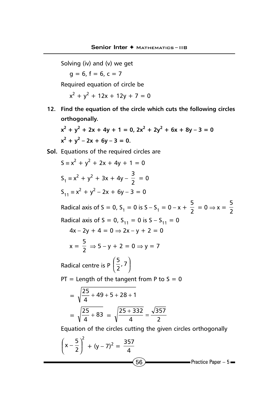Solving (iv) and (v) we get

 $g = 6, f = 6, c = 7$ 

Required equation of circle be

 $x^2 + y^2 + 12x + 12y + 7 = 0$ 

**12. Find the equation of the circle which cuts the following circles orthogonally.**

 $x^2 + y^2 + 2x + 4y + 1 = 0$ ,  $2x^2 + 2y^2 + 6x + 8y - 3 = 0$  $x^2 + y^2 - 2x + 6y - 3 = 0.$ 

**Sol.** Equations of the required circles are

$$
S = x^{2} + y^{2} + 2x + 4y + 1 = 0
$$
  
\n
$$
S_{1} = x^{2} + y^{2} + 3x + 4y - \frac{3}{2} = 0
$$
  
\n
$$
S_{11} = x^{2} + y^{2} - 2x + 6y - 3 = 0
$$
  
\nRadical axis of  $S = 0$ ,  $S_{1} = 0$  is  $S - S_{1} = 0 - x + \frac{5}{2} = 0 \Rightarrow x = \frac{5}{2}$   
\nRadical axis of  $S = 0$ ,  $S_{11} = 0$  is  $S - S_{11} = 0$   
\n
$$
4x - 2y + 4 = 0 \Rightarrow 2x - y + 2 = 0
$$
  
\n
$$
x = \frac{5}{2} \Rightarrow 5 - y + 2 = 0 \Rightarrow y = 7
$$

Radical centre is P  $\left(\frac{3}{2}, 7\right)$  $\left(\frac{5}{2}, 7\right)$ l  $\left(\frac{5}{2}, 7\right)$ 5

 $PT =$  Length of the tangent from P to  $S = 0$ 

$$
= \sqrt{\frac{25}{4} + 49 + 5 + 28 + 1}
$$

$$
= \sqrt{\frac{25}{4} + 83} = \sqrt{\frac{25 + 332}{4}} = \frac{\sqrt{357}}{2}
$$

Equation of the circles cutting the given circles orthogonally

$$
\left(x - \frac{5}{2}\right)^2 + (y - 7)^2 = \frac{357}{4}
$$
  
66  
Practice Paper – 5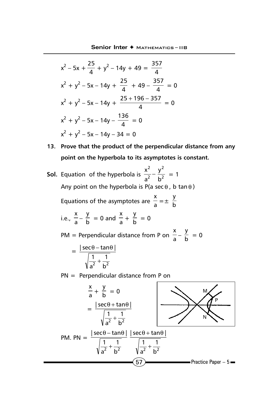$$
x^{2}-5x + \frac{25}{4} + y^{2} - 14y + 49 = \frac{357}{4}
$$
  
\n
$$
x^{2} + y^{2} - 5x - 14y + \frac{25}{4} + 49 - \frac{357}{4} = 0
$$
  
\n
$$
x^{2} + y^{2} - 5x - 14y + \frac{25 + 196 - 357}{4} = 0
$$
  
\n
$$
x^{2} + y^{2} - 5x - 14y - \frac{136}{4} = 0
$$
  
\n
$$
x^{2} + y^{2} - 5x - 14y - 34 = 0
$$

- **13. Prove that the product of the perpendicular distance from any point on the hyperbola to its asymptotes is constant.**
- **Sol.** Equation of the hyperbola is  $\frac{1}{2} \frac{1}{b^2}$ 2 2 2 b y  $rac{x^2}{a^2} - \frac{y^2}{b^2} = 1$ Any point on the hyperbola is P(a sec  $\theta$ , b tan  $\theta$ ) Equations of the asymptotes are  $\frac{x}{a} = \pm \frac{y}{b}$ i.e.,  $\frac{x}{a} - \frac{y}{b} = 0$  and  $\frac{x}{a}$  $\frac{x}{a} + \frac{y}{b} = 0$ PM = Perpendicular distance from P on  $\frac{x}{a} - \frac{y}{b} = 0$  =  $2^{\circ}$  b<sup>2</sup> 1 a 1  $|sec \theta - tan \theta|$ +  $\theta$  – tan $\theta$ PN = Perpendicular distance from P on a  $\frac{x}{a} + \frac{y}{b} = 0$ =  $2^{\circ}$  b<sup>2</sup> 1 a 1  $|sec \theta + tan \theta|$ +  $\theta$  +  $\tan\theta$ M N P

$$
PM. PN = \frac{|\sec\theta - \tan\theta|}{\sqrt{\frac{1}{a^2} + \frac{1}{b^2}}} \frac{|\sec\theta + \tan\theta|}{\sqrt{\frac{1}{a^2} + \frac{1}{b^2}}}
$$
\n
$$
\sqrt{57}
$$
\n
$$
Practice Paper - 5
$$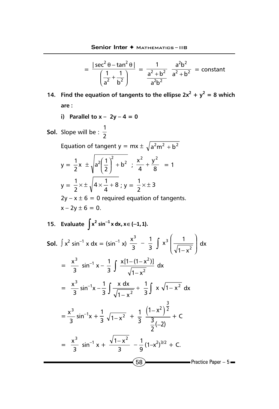$$
= \frac{|\sec^2 \theta - \tan^2 \theta|}{\left(\frac{1}{a^2} + \frac{1}{b^2}\right)} = \frac{1}{\frac{a^2 + b^2}{a^2 + b^2}} = \frac{a^2b^2}{a^2 + b^2} = \text{constant}
$$

- **14.** Find the equation of tangents to the ellipse  $2x^2 + y^2 = 8$  which **are :**
	- **i)** Parallel to  $x 2y 4 = 0$
- **Sol.** Slope will be :  $\frac{1}{2}$

Equation of tangent  $y = mx \pm \sqrt{a^2 m^2 + b^2}$ 

$$
y = \frac{1}{2}x \pm \sqrt{a^2 \left(\frac{1}{2}\right)^2 + b^2} \; ; \; \frac{x^2}{4} + \frac{y^2}{8} = 1
$$
  

$$
y = \frac{1}{2} \times \pm \sqrt{4 \times \frac{1}{4} + 8} ; y = \frac{1}{2} \times \pm 3
$$

 $2y - x \pm 6 = 0$  required equation of tangents.  $x - 2y \pm 6 = 0$ .

15. Evaluate 
$$
\int x^2 \sin^{-1} x \, dx, x \in (-1, 1)
$$
.

**Sol.** 
$$
\int x^2 \sin^{-1} x \, dx = (\sin^{-1} x) \frac{x^3}{3} - \frac{1}{3} \int x^3 \left( \frac{1}{\sqrt{1 - x^2}} \right) dx
$$
  
\n
$$
= \frac{x^3}{3} \sin^{-1} x - \frac{1}{3} \int \frac{x[1 - (1 - x^2)]}{\sqrt{1 - x^2}} \, dx
$$
\n
$$
= \frac{x^3}{3} \sin^{-1} x - \frac{1}{3} \int \frac{x \, dx}{\sqrt{1 - x^2}} + \frac{1}{3} \int x \sqrt{1 - x^2} \, dx
$$
\n
$$
= \frac{x^3}{3} \sin^{-1} x + \frac{1}{3} \sqrt{1 - x^2} + \frac{1}{3} \frac{(1 - x^2)^{\frac{3}{2}}}{\frac{3}{2}(-2)} + C
$$
\n
$$
= \frac{x^3}{3} \sin^{-1} x + \frac{\sqrt{1 - x^2}}{3} - \frac{1}{9} (1 - x^2)^{3/2} + C.
$$
\n**Exercise Paper - 5**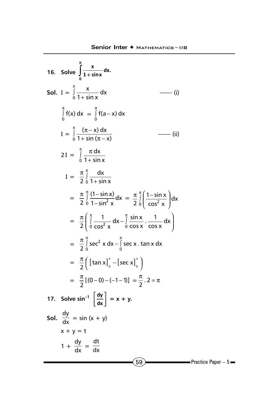16. Solve 
$$
\int_{0}^{\pi} \frac{x}{1 + \sin x} dx.
$$
  
\nSoI.  $I = \int_{0}^{\pi} \frac{x}{1 + \sin x} dx$  (i)  
\n
$$
\int_{0}^{\pi} f(x) dx = \int_{0}^{\pi} f(a - x) dx
$$
  
\n
$$
I = \int_{0}^{\pi} \frac{(\pi - x) dx}{1 + \sin (\pi - x)}
$$
 (ii)  
\n
$$
2I = \int_{0}^{\pi} \frac{\pi dx}{1 + \sin x}
$$
  
\n
$$
I = \frac{\pi}{2} \int_{0}^{\pi} \frac{dx}{1 + \sin x}
$$
  
\n
$$
= \frac{\pi}{2} \int_{0}^{\pi} \frac{(1 - \sin x)}{1 - \sin^2 x} dx = \frac{\pi}{2} \int_{0}^{\pi} \left( \frac{1 - \sin x}{\cos^2 x} \right) dx
$$
  
\n
$$
= \frac{\pi}{2} \int_{0}^{\pi} \frac{1}{\cos^2 x} dx - \int_{0}^{\pi} \frac{\sin x}{\cos x} \cdot \frac{1}{\cos x} dx
$$
  
\n
$$
= \frac{\pi}{2} \int_{0}^{\pi} \sec^2 x dx - \int_{0}^{\pi} \sec x \cdot \tan x dx
$$
  
\n
$$
= \frac{\pi}{2} \left[ \tan x \Big|_{0}^{\pi} - \left[ \sec x \right]_{0}^{\pi} \right]
$$
  
\n
$$
= \frac{\pi}{2} \left[ (0 - 0) - (-1 - 1) \right] = \frac{\pi}{2} \cdot 2 = \pi
$$
  
\n17. Solve  $\sin^{-1} \left[ \frac{dy}{dx} \right] = x + y$ .  
\nSoI.  $\frac{dy}{dx} = \sin (x + y)$   
\n $x + y = t$   
\n
$$
1 + \frac{dy}{dx} = \frac{dt}{dx}
$$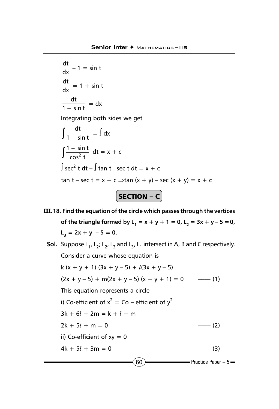```
dx
 \frac{dt}{dt} – 1 = sin t
 \frac{dt}{dx} = 1 + sin t
 1 + \sin tdt
    \frac{1}{+ \sin t} = dx
Integrating both sides we get
 \int \frac{dt}{1 + \sin t} = \int dx\int \frac{1 - \sin x}{\cos^2 x}\frac{1-\sin t}{\cos^2 t} dt = x + c
\int \sec^2 t \, dt - \int \tan t \ . \ \sec t \, dt = x + ctan t – sec t = x + c \Rightarrowtan (x + y) – sec (x + y) = x + cSECTION – C
```
- **III.18. Find the equation of the circle which passes through the vertices of the triangle formed by L<sub>1</sub> = x + y + 1 = 0, L<sub>2</sub> = 3x + y - 5 = 0,**  $L_3 = 2x + y - 5 = 0.$ 
	- $(60)$  Practice Paper 5 **Sol.** Suppose  $L_1$ ,  $L_2$ ;  $L_3$ ,  $L_3$  and  $L_3$ ,  $L_1$  intersect in A, B and C respectively. Consider a curve whose equation is k (x + y + 1) (3x + y - 5) +  $l(3x + y - 5)$  $(2x + y - 5) + m(2x + y - 5) (x + y + 1) = 0$  ---- (1) This equation represents a circle i) Co-efficient of  $x^2 =$  Co – efficient of  $y^2$  $3k + 6l + 2m = k + l + m$  $2k + 5l + m = 0$  (2) ii) Co-efficient of  $xy = 0$  $4k + 5l + 3m = 0$  (3)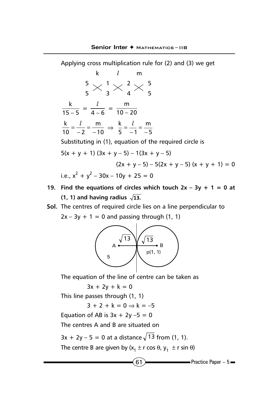Applying cross multiplication rule for (2) and (3) we get k *l* m 5  $\sim$  1  $\sim$  2  $\sim$  5 5345  $15 - 5$  $\frac{k}{-5} = \frac{l}{4-6} = \frac{m}{10-20}$ − 10 m  $10 - 2$  $\frac{k}{10} = \frac{l}{-2} = \frac{m}{-10} \implies \frac{k}{5} = \frac{l}{-1} = \frac{m}{-5}$  $5 - 1$  $\frac{k}{5} = \frac{l}{-1} = \frac{r}{-1}$ Substituting in (1), equation of the required circle is  $5(x + y + 1)$   $(3x + y - 5) - 1(3x + y - 5)$  $(2x + y - 5) - 5(2x + y - 5) (x + y + 1) = 0$ i.e.,  $x^2 + y^2 - 30x - 10y + 25 = 0$ 

- **19. Find the equations of circles which touch**  $2x 3y + 1 = 0$  **at**  $(1, 1)$  and having radius  $\sqrt{13}$ .
- **Sol.** The centres of required circle lies on a line perpendicular to  $2x - 3y + 1 = 0$  and passing through (1, 1)



The equation of the line of centre can be taken as

 $3x + 2y + k = 0$ 

This line passes through (1, 1)

 $3 + 2 + k = 0 \Rightarrow k = -5$ 

Equation of AB is  $3x + 2y - 5 = 0$ 

The centres A and B are situated on

 $3x + 2y - 5 = 0$  at a distance  $\sqrt{13}$  from (1, 1).

The centre B are given by  $(x_1 \pm r \cos \theta, y_1 \pm r \sin \theta)$ 

 $(61)$  Practice Paper – 5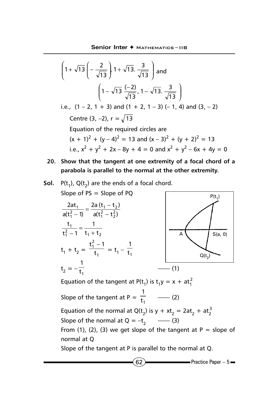$$
\left(1+\sqrt{13}\left(-\frac{2}{\sqrt{13}}\right)1+\sqrt{13}\cdot\frac{3}{\sqrt{13}}\right) \text{ and}
$$
\n
$$
\left(1-\sqrt{13}\frac{(-2)}{\sqrt{13}}, 1-\sqrt{13}\cdot\frac{3}{\sqrt{13}}\right)
$$
\ni.e.,  $(1-2, 1+3)$  and  $(1+2, 1-3)$  (-1, 4) and  $(3, -2)$   
\nCentre  $(3, -2)$ ,  $r = \sqrt{13}$   
\nEquation of the required circles are  
\n $(x + 1)^2 + (y - 4)^2 = 13$  and  $(x - 3)^2 + (y + 2)^2 = 13$   
\ni.e.,  $x^2 + y^2 + 2x - 8y + 4 = 0$  and  $x^2 + y^2 - 6x + 4y = 0$ 

**20. Show that the tangent at one extremity of a focal chord of a parabola is parallel to the normal at the other extremity.**

**Sol.** 
$$
P(t_1)
$$
,  $Q(t_2)$  are the ends of a focal chord.  
Slope of PS = Slope of PQ

slope of PS = Slope of PQ  
\n
$$
\frac{2at_1}{a(t_1^2 - 1)} = \frac{2a(t_1 - t_2)}{a(t_1^2 - t_2^2)}
$$
\n
$$
\frac{t_1}{t_1^2 - 1} = \frac{1}{t_1 + t_2}
$$
\n
$$
t_1 + t_2 = \frac{t_1^2 - 1}{t_1} = t_1 - \frac{1}{t_1}
$$
\nEquation of the tangent at P(t<sub>1</sub>) is t<sub>1</sub>y = x + at<sub>1</sub><sup>2</sup>  
\nSlope of the tangent at P =  $\frac{1}{t_1}$  (1)  
\nEquation of the normal at Q(t<sub>2</sub>) is y + xt<sub>2</sub> = 2at<sub>2</sub> + at<sub>2</sub><sup>3</sup>  
\nEquation of the normal at Q(t<sub>2</sub>) is y + xt<sub>2</sub> = 2at<sub>2</sub> + at<sub>2</sub><sup>3</sup>

Slope of the normal at  $Q = -t_2$  —— (3)

From (1), (2), (3) we get slope of the tangent at  $P = slope of$ normal at Q

Slope of the tangent at P is parallel to the normal at Q.

 $\sim$  Practice Paper – 5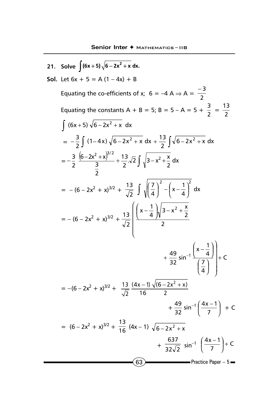$(63)$  Practice Paper – 5 21. Solve  $\int (6x+5)\sqrt{6-2x^2}+x dx$ . **Sol.** Let  $6x + 5 = A(1 - 4x) + B$ Equating the co-efficients of x; 6 = –4 A  $\Rightarrow$  A =  $\frac{-3}{2}$ Equating the constants A + B = 5; B = 5 - A = 5 +  $\frac{3}{2}$  =  $\frac{13}{2}$  $\int (6x+5) \sqrt{6-2x^2+x} dx$  $= -\frac{3}{2}$   $(1 - 4x) \sqrt{6} - 2x^2 + x dx$  $-\frac{3}{2}\int (1-4x)\sqrt{6-2x^2+x} dx + \frac{13}{2}\int \sqrt{6-2x^2+x} dx$  $+\frac{13}{2}\int \sqrt{6-2x^2+}$  $= -\frac{3}{2} \frac{(6-2x^2+x)^{7/2}}{3} + \frac{13}{2} \sqrt{2} \int \sqrt{3-x^2 + \frac{x}{2}} dx$ 13 2 3  $6 - 2x^2 + x$ 2 3  $(6-2x^2+x)^{3/2}$ , 13  $\sqrt{2}$ ,  $\sqrt{2}$  $=$  – (6 – 2x<sup>2</sup> + x)<sup>3/2</sup> +  $\frac{15}{\sqrt{2}}$  )  $\sqrt{\left(\frac{7}{4}\right)}$  –  $\left(x-\frac{1}{4}\right)$  $\left(x-\frac{1}{4}\right)$  $\left(\frac{7}{4}\right)^2 - \left(x$ l  $\left(\frac{7}{4}\right)^2 - \left(x - \frac{1}{4}\right)^2 dx$  $\left(\frac{7}{4}\right)^2 - \left(x - \frac{1}{4}\right)$ 7 2 13  $\int (7)^2$   $\int (1)^2$  $= - (6 - 2x^2 + x)^{3/2} + \frac{15}{\sqrt{2}} \left[ \frac{(4 + 1)x}{2} \right]$  $\frac{1}{4}$   $\sqrt{3-x^2+\frac{x}{2}}$  $x - \frac{1}{1}$ 2 13 2  $\overline{\phantom{a}}$ I I I l  $\left(\left(x-\frac{1}{4}\right)\sqrt{3-x^2+}\right)$ l ( x –  $+\frac{45}{32}sin^{-1}\frac{1}{7}$  + C 4 7 4  $x - \frac{1}{4}$  $\frac{49}{32}$  sin<sup>-1</sup>  $\left(\frac{41}{7}\right)$  +  $\big)$  $\left( \right)$   $\overline{1}$  $\left(\frac{7}{4}\right)$ l ſ i,  $\overline{1}$  $\left(x-\frac{1}{4}\right)$ l ( <sub>x −</sub>  $+\frac{49}{22}$  sin<sup>-1</sup>  $= -(6 - 2x^2 + x)^{3/2} + \frac{13}{\sqrt{2}} \frac{(4x-1)\sqrt{(6-2x^2+x)}}{2}$  $\overline{2}$  16 2  $-1) \sqrt{(6-2x^2 +$  $+$  $\frac{49}{32}$  sin<sup>-1</sup>  $\left(\frac{4x-1}{7}\right)$  $\big)$  $\left(\frac{4x-1}{7}\right)$ l  $-1\left(\frac{4x-1}{7}\right) + C$  $= (6-2x^2 + x)^{3/2} + \frac{13}{16} (4x-1) \sqrt{6-2x^2 + x^2}$  $+$   $\frac{1}{32\sqrt{2}}$  $\frac{637}{12\sqrt{2}} \sin^{-1} \left( \frac{4x-1}{7} \right) + C$  $\frac{4x-1}{7}$  +  $\overline{\phantom{a}}$  $\left(\frac{4x-1}{7}\right)$ l ( 4x –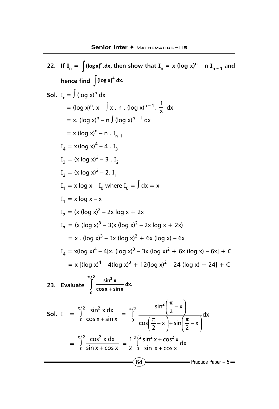$64$  Practice Paper – 5 **22.** If  $\mathbf{I}_n = \int (\log x)^n dx$ , then show that  $\mathbf{I}_n = x (\log x)^n - n \mathbf{I}_{n-1}$  and hence find  $\int$  (log x)<sup>4</sup> dx. **Sol.** I<sub>n</sub> =  $\int$  (log x)<sup>n</sup> dx  $=$  (log x)<sup>n</sup>. x –  $\int x \cdot n \cdot (\log x)^{n-1} \cdot \frac{1}{x} dx$  $= x.$  (log x)<sup>n</sup> – n ∫ (log x)<sup>n – 1</sup> dx  $= x (\log x)^{n} - n . I_{n-1}$  $I_4 = x (\log x)^4 - 4$ .  $I_3$  $I_3 = (x \log x)^3 - 3$ .  $I_2$  $I_2 = (x \log x)^2 - 2$ .  $I_1$  $I_1 = x \log x - I_0$  where  $I_0 = \int dx = x$  $I_1 = x \log x - x$  $I_2 = (x (\log x)^2 - 2x \log x + 2x)$  $I_3 = (x (\log x)^3 - 3(x (\log x)^2 - 2x \log x + 2x))$  $= x$  . (log x)<sup>3</sup> – 3x (log x)<sup>2</sup> + 6x (log x) – 6x  $I_4 = x(\log x)^4 - 4[x. (\log x)^3 - 3x (\log x)^2 + 6x (\log x) - 6x] + C$  $= x [(log x)<sup>4</sup> - 4(log x)<sup>3</sup> + 12(log x)<sup>2</sup> - 24(log x) + 24] + C$ **23. Evaluate**   $\int_{0}^{2} \frac{\sin^2 x}{\cos x + \sin x} dx.$ 0 π  $\int \frac{\sin x}{\cos x +}$ **Sol.** I =  $\int_{0}^{1} \frac{3\pi i}{\cos x + \sin x} dx$  $\int_{0}^{2}$  sin<sup>2</sup> x dx  $\int_{0}^{\frac{\pi}{10}} \frac{\cos x}{\cos x +}$ π  $=$   $\int \frac{Z}{2} dx$  $\cos\left(\frac{x}{2}-x\right)+\sin\left(\frac{x}{2}-x\right)$  $\sin^2\left(\frac{\pi}{2} - x\right)$  $\int_{0}^{\infty}$  cos $\left(\frac{\pi}{2} - x\right) + \sin\left(\frac{\pi}{2} - x\right)$  $\overline{\phantom{a}}$  $\left(\frac{\pi}{2} - x\right)$ l  $-\frac{\pi}{2}$  + sin $\frac{\pi}{2}$  –  $\big)$  $\left(\frac{\pi}{2} - x\right)$ l  $\left(\frac{\pi}{2}-\right)$ I  $\overline{\phantom{a}}$  $\left(\frac{\pi}{2} - x\right)$ Ţ  $\frac{\pi}{2}$  – ∫ π  $=$   $\int \frac{\cosh x}{\sin x + \cos x}$  $\zeta_1^2$  cos<sup>2</sup> x dx  $\int_{0}^{1} \frac{\cos x}{\sin x + \cos x}$ π  $=\frac{1}{2}$   $\int \frac{\sin x + \cos x}{\sin x + \cos x} dx$  $\sin^2 x + \cos^2 x$ 2  $1 \frac{\pi}{2} \sin^2 x + \cos^2 x$  $\int_{0}^{\pi/2} \frac{\sin^2 x +}{\sin x +}$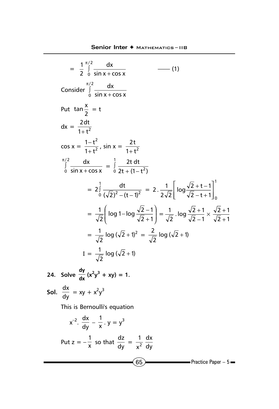$(65)$  Practice Paper – 5  $=\int_{2}^{\pi/2} \frac{dx}{\sin x + \cos x}$ 2 1  $\frac{\pi}{2}$  $\int_{0}^{\frac{\pi}{2}} \frac{\alpha}{\sin x + \alpha}$ π  $-$  (1) Consider  $\int_{0}^{1} \frac{dx}{\sin x + \cos x}$  $\int_{0}^{2}$  dx  $\int_{0}^{\frac{\pi}{2}} \frac{\alpha}{\sin x}$ π Put  $\tan \frac{x}{2} = t$  $dx = \frac{2dt}{1+t^2}$ +  $cos x = \frac{1}{1+t^2}$ 2  $1 + t$  $1 - t$  $\frac{-t^2}{+t^2}$ , sin x =  $\frac{2t}{1+t^2}$ +  $\sin x + \cos x$  $\int_{0}^{2}$  dx  $\int_{0}^{\frac{\pi}{2}} \frac{\alpha}{\sin x}$ π  $=\int_{0}^{1} \frac{2t dt}{2t + (1 - t^2)}$ 2 1  $\frac{1}{0}$   $\frac{21}{2}$  +  $(1 = 2 \int \frac{dE}{(1/2)^2 + 1}$ 1  $2\int_{0}^{1} \frac{dt}{(\sqrt{2})^2 - (t-1)^2} = 2 \cdot \frac{1}{2\sqrt{2}} \left[ \log \frac{\sqrt{2} + t - 1}{\sqrt{2} - t + 1} \right]_{0}^{1}$ 2.  $\frac{1}{2\sqrt{2}} \left[ \log \frac{\sqrt{2} + t - 1}{\sqrt{2} - t + 1} \right]_0$ J I L L L L  $-$  t +  $+$  t  $=\frac{1}{\sqrt{2}}\log 1 - \log \frac{\sqrt{2}-1}{\sqrt{2}+1}$  $\overline{)}$  $\overline{a}$  $\overline{\phantom{a}}$ l ſ  $\frac{1}{\sqrt{2}}\left(\log 1-\log \frac{\sqrt{2}-1}{\sqrt{2}+1}\right)=\frac{1}{\sqrt{2}}$ .  $\log \frac{\sqrt{2}+1}{\sqrt{2}-1} \times \frac{\sqrt{2}+1}{\sqrt{2}+1}$  $\frac{1}{\sqrt{2}}$  . log  $\frac{\sqrt{2}+1}{\sqrt{2}-1}$ +  $+1$   $\times \frac{\sqrt{2} +}{\sqrt{2} +}$  $=\frac{1}{\sqrt{2}} \log (\sqrt{2} + 1)^2$ 2  $\frac{1}{\sqrt{2}} \log (\sqrt{2} + 1)^2 = \frac{2}{\sqrt{2}} \log (\sqrt{2} + 1)$ 2  $\frac{2}{\sqrt{2}}$  log ( $\sqrt{2}$  +  $I = \frac{1}{\sqrt{2}} \log (\sqrt{2} + 1)$ 2  $\frac{1}{\sqrt{2}}$  log ( $\sqrt{2}$  + 24. Solve  $\frac{dy}{dx}(x^2y^3 + xy) = 1$ . **Sol.**  $\frac{dx}{dy} = xy + x^2y^3$ This is Bernoulli's equation  $x^{-2}$ .  $\frac{dx}{dy} - \frac{1}{x}$ .  $y = y^3$ Put  $z = -\frac{1}{x}$  so that  $\frac{dz}{dy} = \frac{1}{x^2}$ dy dx